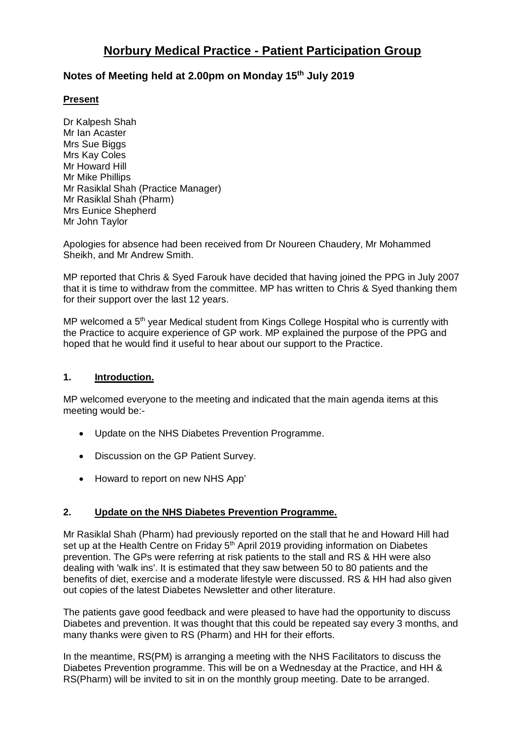# **Norbury Medical Practice - Patient Participation Group**

# **Notes of Meeting held at 2.00pm on Monday 15th July 2019**

## **Present**

Dr Kalpesh Shah Mr Ian Acaster Mrs Sue Biggs Mrs Kay Coles Mr Howard Hill Mr Mike Phillips Mr Rasiklal Shah (Practice Manager) Mr Rasiklal Shah (Pharm) Mrs Eunice Shepherd Mr John Taylor

Apologies for absence had been received from Dr Noureen Chaudery, Mr Mohammed Sheikh, and Mr Andrew Smith.

MP reported that Chris & Syed Farouk have decided that having joined the PPG in July 2007 that it is time to withdraw from the committee. MP has written to Chris & Syed thanking them for their support over the last 12 years.

MP welcomed a 5<sup>th</sup> year Medical student from Kings College Hospital who is currently with the Practice to acquire experience of GP work. MP explained the purpose of the PPG and hoped that he would find it useful to hear about our support to the Practice.

#### **1. Introduction.**

MP welcomed everyone to the meeting and indicated that the main agenda items at this meeting would be:-

- Update on the NHS Diabetes Prevention Programme.
- Discussion on the GP Patient Survey.
- Howard to report on new NHS App'

#### **2. Update on the NHS Diabetes Prevention Programme.**

Mr Rasiklal Shah (Pharm) had previously reported on the stall that he and Howard Hill had set up at the Health Centre on Friday 5<sup>th</sup> April 2019 providing information on Diabetes prevention. The GPs were referring at risk patients to the stall and RS & HH were also dealing with 'walk ins'. It is estimated that they saw between 50 to 80 patients and the benefits of diet, exercise and a moderate lifestyle were discussed. RS & HH had also given out copies of the latest Diabetes Newsletter and other literature.

The patients gave good feedback and were pleased to have had the opportunity to discuss Diabetes and prevention. It was thought that this could be repeated say every 3 months, and many thanks were given to RS (Pharm) and HH for their efforts.

In the meantime, RS(PM) is arranging a meeting with the NHS Facilitators to discuss the Diabetes Prevention programme. This will be on a Wednesday at the Practice, and HH & RS(Pharm) will be invited to sit in on the monthly group meeting. Date to be arranged.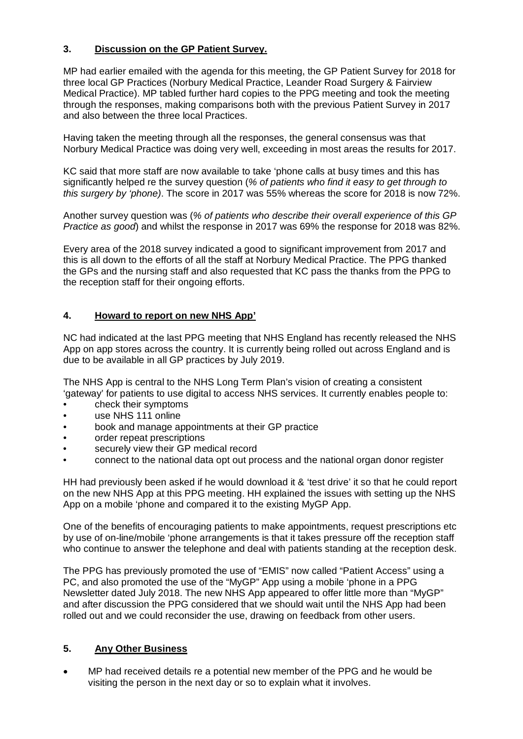# **3. Discussion on the GP Patient Survey.**

MP had earlier emailed with the agenda for this meeting, the GP Patient Survey for 2018 for three local GP Practices (Norbury Medical Practice, Leander Road Surgery & Fairview Medical Practice). MP tabled further hard copies to the PPG meeting and took the meeting through the responses, making comparisons both with the previous Patient Survey in 2017 and also between the three local Practices.

Having taken the meeting through all the responses, the general consensus was that Norbury Medical Practice was doing very well, exceeding in most areas the results for 2017.

KC said that more staff are now available to take 'phone calls at busy times and this has significantly helped re the survey question (*% of patients who find it easy to get through to this surgery by 'phone)*. The score in 2017 was 55% whereas the score for 2018 is now 72%.

Another survey question was (*% of patients who describe their overall experience of this GP Practice as good*) and whilst the response in 2017 was 69% the response for 2018 was 82%.

Every area of the 2018 survey indicated a good to significant improvement from 2017 and this is all down to the efforts of all the staff at Norbury Medical Practice. The PPG thanked the GPs and the nursing staff and also requested that KC pass the thanks from the PPG to the reception staff for their ongoing efforts.

### **4. Howard to report on new NHS App'**

NC had indicated at the last PPG meeting that NHS England has recently released the NHS App on app stores across the country. It is currently being rolled out across England and is due to be available in all GP practices by July 2019.

The NHS App is central to the NHS Long Term Plan's vision of creating a consistent 'gateway' for patients to use digital to access NHS services. It currently enables people to:

- check their symptoms
- use NHS 111 online
- book and manage appointments at their GP practice
- order repeat prescriptions
- securely view their GP medical record
- connect to the national data opt out process and the national organ donor register

HH had previously been asked if he would download it & 'test drive' it so that he could report on the new NHS App at this PPG meeting. HH explained the issues with setting up the NHS App on a mobile 'phone and compared it to the existing MyGP App.

One of the benefits of encouraging patients to make appointments, request prescriptions etc by use of on-line/mobile 'phone arrangements is that it takes pressure off the reception staff who continue to answer the telephone and deal with patients standing at the reception desk.

The PPG has previously promoted the use of "EMIS" now called "Patient Access" using a PC, and also promoted the use of the "MyGP" App using a mobile 'phone in a PPG Newsletter dated July 2018. The new NHS App appeared to offer little more than "MyGP" and after discussion the PPG considered that we should wait until the NHS App had been rolled out and we could reconsider the use, drawing on feedback from other users.

## **5. Any Other Business**

• MP had received details re a potential new member of the PPG and he would be visiting the person in the next day or so to explain what it involves.